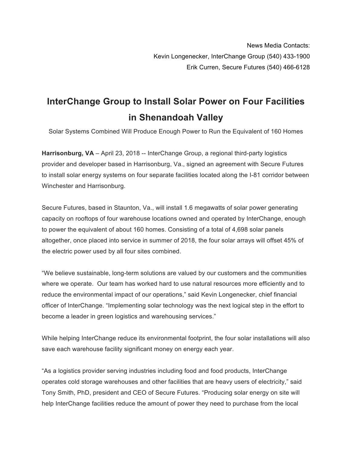## **InterChange Group to Install Solar Power on Four Facilities in Shenandoah Valley**

Solar Systems Combined Will Produce Enough Power to Run the Equivalent of 160 Homes

**Harrisonburg, VA** – April 23, 2018 -- InterChange Group, a regional third-party logistics provider and developer based in Harrisonburg, Va., signed an agreement with Secure Futures to install solar energy systems on four separate facilities located along the I-81 corridor between Winchester and Harrisonburg.

Secure Futures, based in Staunton, Va., will install 1.6 megawatts of solar power generating capacity on rooftops of four warehouse locations owned and operated by InterChange, enough to power the equivalent of about 160 homes. Consisting of a total of 4,698 solar panels altogether, once placed into service in summer of 2018, the four solar arrays will offset 45% of the electric power used by all four sites combined.

"We believe sustainable, long-term solutions are valued by our customers and the communities where we operate. Our team has worked hard to use natural resources more efficiently and to reduce the environmental impact of our operations," said Kevin Longenecker, chief financial officer of InterChange. "Implementing solar technology was the next logical step in the effort to become a leader in green logistics and warehousing services."

While helping InterChange reduce its environmental footprint, the four solar installations will also save each warehouse facility significant money on energy each year.

"As a logistics provider serving industries including food and food products, InterChange operates cold storage warehouses and other facilities that are heavy users of electricity," said Tony Smith, PhD, president and CEO of Secure Futures. "Producing solar energy on site will help InterChange facilities reduce the amount of power they need to purchase from the local